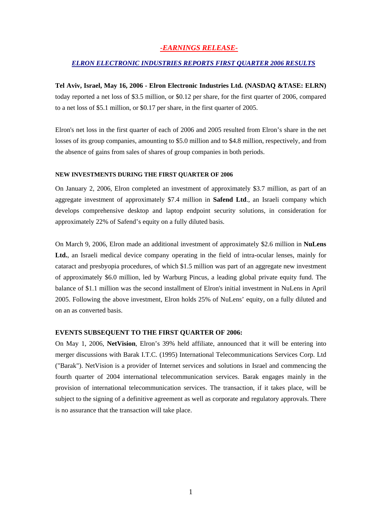## *-EARNINGS RELEASE-*

### *ELRON ELECTRONIC INDUSTRIES REPORTS FIRST QUARTER 2006 RESULTS*

#### **Tel Aviv, Israel, May 16, 2006 - Elron Electronic Industries Ltd. (NASDAQ &TASE: ELRN)**

today reported a net loss of \$3.5 million, or \$0.12 per share, for the first quarter of 2006, compared to a net loss of \$5.1 million, or \$0.17 per share, in the first quarter of 2005.

Elron's net loss in the first quarter of each of 2006 and 2005 resulted from Elron's share in the net losses of its group companies, amounting to \$5.0 million and to \$4.8 million, respectively, and from the absence of gains from sales of shares of group companies in both periods.

# **N EW INVESTMENTS DURING THE FIRST QUARTER OF 2006**

On January 2, 2006, Elron completed an investment of approximately \$3.7 million, as part of an aggregate investment of approximately \$7.4 million in **Safend Ltd**., an Israeli company which develops comprehensive desktop and laptop endpoint security solutions, in consideration for approximately 22% of Safend's equity on a fully diluted basis.

On March 9, 2006, Elron made an additional investment of approximately \$2.6 million in **NuLens Ltd.**, an Israeli medical device company operating in the field of intra-ocular lenses, mainly for cataract and presbyopia procedures, of which \$1.5 million was part of an aggregate new investment of approximately \$6.0 million, led by Warburg Pincus, a leading global private equity fund. The balance of \$1.1 million was the second installment of Elron's initial investment in NuLens in April 2005. Following the above investment, Elron holds 25% of NuLens' equity, on a fully diluted and on an as converted basis.

### **EVENTS SUBSEQUENT TO THE FIRST QUARTER OF 2006:**

On May 1, 2006, **NetVision**, Elron's 39% held affiliate, announced that it will be entering into merger discussions with Barak I.T.C. (1995) International Telecommunications Services Corp. Ltd ("Barak"). NetVision is a provider of Internet services and solutions in Israel and commencing the fourth quarter of 2004 international telecommunication services. Barak engages mainly in the provision of international telecommunication services. The transaction, if it takes place, will be subject to the signing of a definitive agreement as well as corporate and regulatory approvals. There is no assurance that the transaction will take place.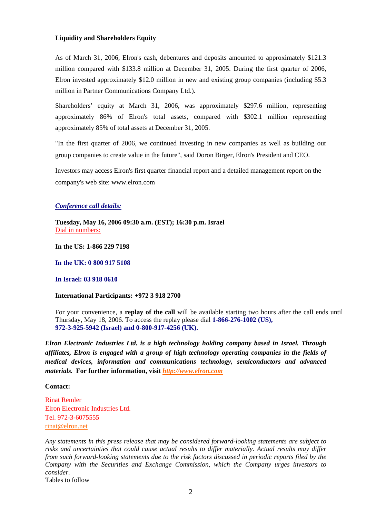#### **Liquidity and Shareholders Equity**

As of March 31, 2006, Elron's cash, debentures and deposits amounted to approximately \$121.3 million compared with \$133.8 million at December 31, 2005. During the first quarter of 2006, Elron invested approximately \$12.0 million in new and existing group companies (including \$5.3 million in Partner Communications Company Ltd.).

Shareholders' equity at March 31, 2006, was approximately \$297.6 million, representing approximately 86% of Elron's total assets, compared with \$302.1 million representing approximately 85% of total assets at December 31, 2005.

"In the first quarter of 2006, we continued investing in new companies as well as building our group companies to create value in the future", said Doron Birger, Elron's President and CEO.

Investors may access Elron's first quarter financial report and a detailed management report on the company's web site: [www.elron.com](http://www.elron.com/)

#### *Conference call details:*

**Tuesday, May 16, 2006 09:30 a.m. (EST); 16:30 p.m. Israel**  Dial in numbers:

**In the US: 1-866 229 7198** 

**In the UK: 0 800 917 5108** 

**In Israel: 03 918 0610**

### **International Participants: +972 3 918 2700**

For your convenience, a **replay of the call** will be available starting two hours after the call ends until Thursday, May 18, 2006. To access the replay please dial **1-866-276-1002 (US), 972-3-925-5942 (Israel) and 0-800-917-4256 (UK).**

*Elron Electronic Industries Ltd. is a high technology holding company based in Israel. Through affiliates, Elron is engaged with a group of high technology operating companies in the fields of medical devices, information and communications technology, semiconductors and advanced materials.* **For further information, visit** *[http://www.elron.com](http://www.elron.com/)*

#### **Contact:**

Rinat Remler Elron Electronic Industries Ltd. Tel. 972-3-6075555 [rinat@elron.net](mailto:rinat@elron.net) 

*Any statements in this press release that may be considered forward-looking statements are subject to risks and uncertainties that could cause actual results to differ materially. Actual results may differ from such forward-looking statements due to the risk factors discussed in periodic reports filed by the Company with the Securities and Exchange Commission, which the Company urges investors to consider.* 

Tables to follow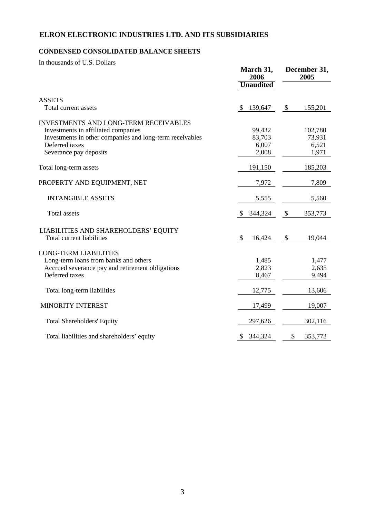## **ELRON ELECTRONIC INDUSTRIES LTD. AND ITS SUBSIDIARIES**

## **CONDENSED CONSOLIDATED BALANCE SHEETS**

In thousands of U.S. Dollars

|                                                                                                                                                                                             | March 31,<br>2006                  |                                      |
|---------------------------------------------------------------------------------------------------------------------------------------------------------------------------------------------|------------------------------------|--------------------------------------|
|                                                                                                                                                                                             | <b>Unaudited</b>                   |                                      |
| <b>ASSETS</b><br>Total current assets                                                                                                                                                       | 139,647<br>-S                      | 155,201<br>\$                        |
| <b>INVESTMENTS AND LONG-TERM RECEIVABLES</b><br>Investments in affiliated companies<br>Investments in other companies and long-term receivables<br>Deferred taxes<br>Severance pay deposits | 99,432<br>83,703<br>6,007<br>2,008 | 102,780<br>73,931<br>6,521<br>1,971  |
| Total long-term assets                                                                                                                                                                      | 191,150                            | 185,203                              |
| PROPERTY AND EQUIPMENT, NET                                                                                                                                                                 | 7,972                              | 7,809                                |
| <b>INTANGIBLE ASSETS</b>                                                                                                                                                                    | 5,555                              | 5,560                                |
| <b>Total assets</b>                                                                                                                                                                         | 344,324<br><sup>8</sup>            | $\boldsymbol{\mathsf{S}}$<br>353,773 |
| LIABILITIES AND SHAREHOLDERS' EQUITY<br>Total current liabilities                                                                                                                           | \$<br>16,424                       | \$<br>19,044                         |
| <b>LONG-TERM LIABILITIES</b><br>Long-term loans from banks and others<br>Accrued severance pay and retirement obligations<br>Deferred taxes                                                 | 1,485<br>2,823<br>8,467            | 1,477<br>2,635<br>9,494              |
| Total long-term liabilities                                                                                                                                                                 | 12,775                             | 13,606                               |
| <b>MINORITY INTEREST</b>                                                                                                                                                                    | 17,499                             | 19,007                               |
| <b>Total Shareholders' Equity</b>                                                                                                                                                           | 297,626                            | 302,116                              |
| Total liabilities and shareholders' equity                                                                                                                                                  | 344,324<br>\$                      | 353,773<br>\$                        |